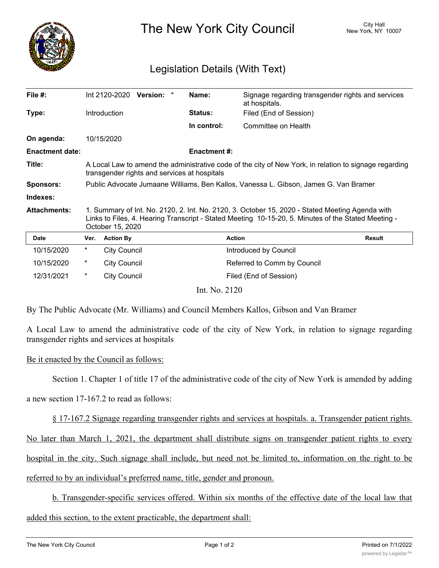

The New York City Council New York, NY 10007

## Legislation Details (With Text)

| File #:                |                                                                                                                                                                                                                            | Int 2120-2020<br>Version:<br>* | Name:              | Signage regarding transgender rights and services<br>at hospitals. |               |
|------------------------|----------------------------------------------------------------------------------------------------------------------------------------------------------------------------------------------------------------------------|--------------------------------|--------------------|--------------------------------------------------------------------|---------------|
| Type:                  |                                                                                                                                                                                                                            | <b>Introduction</b>            | Status:            | Filed (End of Session)                                             |               |
|                        |                                                                                                                                                                                                                            |                                | In control:        | Committee on Health                                                |               |
| On agenda:             |                                                                                                                                                                                                                            | 10/15/2020                     |                    |                                                                    |               |
| <b>Enactment date:</b> |                                                                                                                                                                                                                            |                                | <b>Enactment#:</b> |                                                                    |               |
| Title:                 | A Local Law to amend the administrative code of the city of New York, in relation to signage regarding<br>transgender rights and services at hospitals                                                                     |                                |                    |                                                                    |               |
| <b>Sponsors:</b>       | Public Advocate Jumaane Williams, Ben Kallos, Vanessa L. Gibson, James G. Van Bramer                                                                                                                                       |                                |                    |                                                                    |               |
| Indexes:               |                                                                                                                                                                                                                            |                                |                    |                                                                    |               |
| <b>Attachments:</b>    | 1. Summary of Int. No. 2120, 2. Int. No. 2120, 3. October 15, 2020 - Stated Meeting Agenda with<br>Links to Files, 4. Hearing Transcript - Stated Meeting 10-15-20, 5. Minutes of the Stated Meeting -<br>October 15, 2020 |                                |                    |                                                                    |               |
| <b>Date</b>            | Ver.                                                                                                                                                                                                                       | <b>Action By</b>               |                    | <b>Action</b>                                                      | <b>Result</b> |
| 10/15/2020             | $^\star$                                                                                                                                                                                                                   | <b>City Council</b>            |                    | Introduced by Council                                              |               |
| 10/15/2020             | $^\star$                                                                                                                                                                                                                   | <b>City Council</b>            |                    | Referred to Comm by Council                                        |               |
| 12/31/2021             | $^\star$                                                                                                                                                                                                                   | <b>City Council</b>            |                    | Filed (End of Session)                                             |               |
|                        |                                                                                                                                                                                                                            |                                | Int. No. 2120      |                                                                    |               |

By The Public Advocate (Mr. Williams) and Council Members Kallos, Gibson and Van Bramer

A Local Law to amend the administrative code of the city of New York, in relation to signage regarding transgender rights and services at hospitals

Be it enacted by the Council as follows:

Section 1. Chapter 1 of title 17 of the administrative code of the city of New York is amended by adding

a new section 17-167.2 to read as follows:

§ 17-167.2 Signage regarding transgender rights and services at hospitals. a. Transgender patient rights.

No later than March 1, 2021, the department shall distribute signs on transgender patient rights to every

hospital in the city. Such signage shall include, but need not be limited to, information on the right to be

referred to by an individual's preferred name, title, gender and pronoun.

b. Transgender-specific services offered. Within six months of the effective date of the local law that

added this section, to the extent practicable, the department shall: